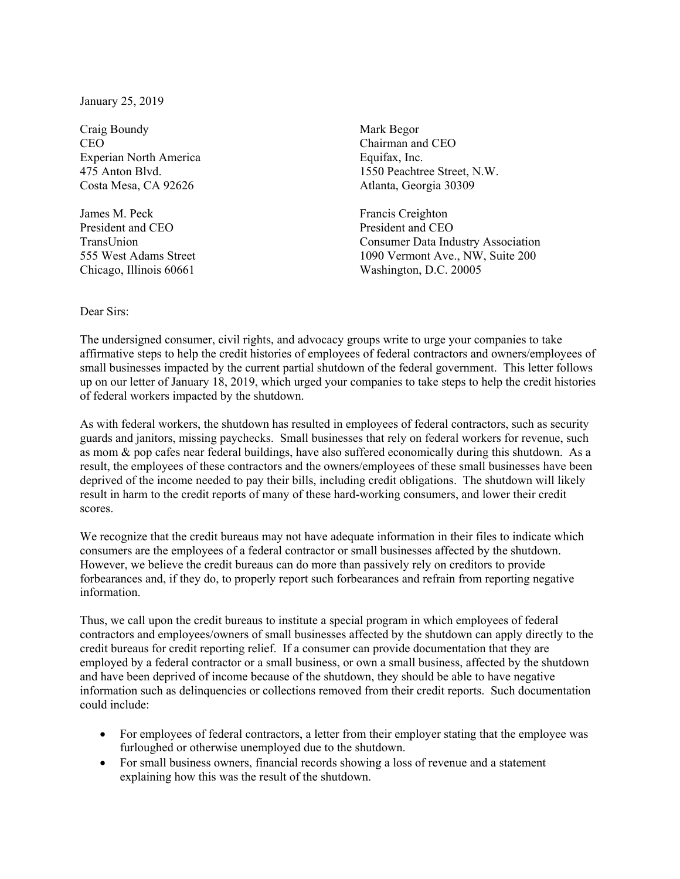January 25, 2019

Craig Boundy Mark Begor CEO CHAIRMAN CHAIRMAN CHAIRMAN CHO CHAIRMAN CHO Experian North America Equifax, Inc. Costa Mesa, CA 92626 Atlanta, Georgia 30309

James M. Peck Francis Creighton President and CEO President and CEO

475 Anton Blvd. 1550 Peachtree Street, N.W.

TransUnion Consumer Data Industry Association 555 West Adams Street 1090 Vermont Ave., NW, Suite 200 Chicago, Illinois 60661 Washington, D.C. 20005

## Dear Sirs:

The undersigned consumer, civil rights, and advocacy groups write to urge your companies to take affirmative steps to help the credit histories of employees of federal contractors and owners/employees of small businesses impacted by the current partial shutdown of the federal government. This letter follows up on our letter of January 18, 2019, which urged your companies to take steps to help the credit histories of federal workers impacted by the shutdown.

As with federal workers, the shutdown has resulted in employees of federal contractors, such as security guards and janitors, missing paychecks. Small businesses that rely on federal workers for revenue, such as mom & pop cafes near federal buildings, have also suffered economically during this shutdown. As a result, the employees of these contractors and the owners/employees of these small businesses have been deprived of the income needed to pay their bills, including credit obligations. The shutdown will likely result in harm to the credit reports of many of these hard-working consumers, and lower their credit scores.

We recognize that the credit bureaus may not have adequate information in their files to indicate which consumers are the employees of a federal contractor or small businesses affected by the shutdown. However, we believe the credit bureaus can do more than passively rely on creditors to provide forbearances and, if they do, to properly report such forbearances and refrain from reporting negative information.

Thus, we call upon the credit bureaus to institute a special program in which employees of federal contractors and employees/owners of small businesses affected by the shutdown can apply directly to the credit bureaus for credit reporting relief. If a consumer can provide documentation that they are employed by a federal contractor or a small business, or own a small business, affected by the shutdown and have been deprived of income because of the shutdown, they should be able to have negative information such as delinquencies or collections removed from their credit reports. Such documentation could include:

- For employees of federal contractors, a letter from their employer stating that the employee was furloughed or otherwise unemployed due to the shutdown.
- For small business owners, financial records showing a loss of revenue and a statement explaining how this was the result of the shutdown.